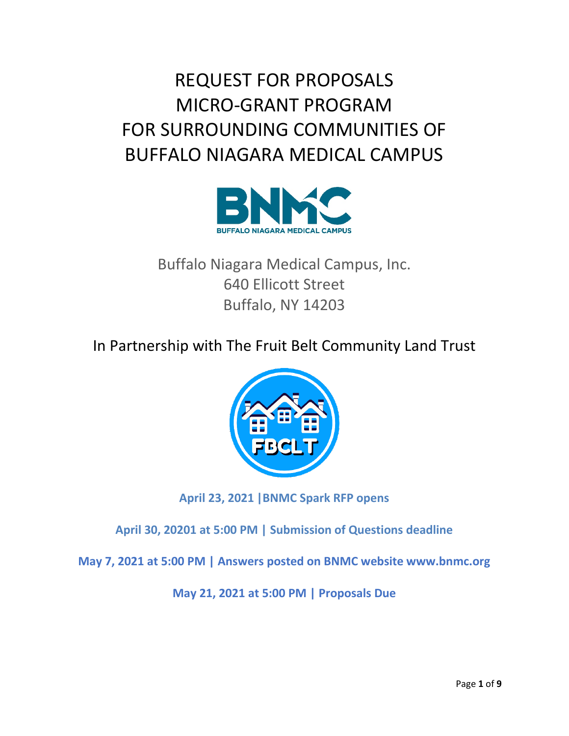REQUEST FOR PROPOSALS MICRO-GRANT PROGRAM FOR SURROUNDING COMMUNITIES OF BUFFALO NIAGARA MEDICAL CAMPUS



Buffalo Niagara Medical Campus, Inc. 640 Ellicott Street Buffalo, NY 14203

In Partnership with The Fruit Belt Community Land Trust



**April 23, 2021 |BNMC Spark RFP opens** 

**April 30, 20201 at 5:00 PM | Submission of Questions deadline**

**May 7, 2021 at 5:00 PM | Answers posted on BNMC website www.bnmc.org**

**May 21, 2021 at 5:00 PM | Proposals Due**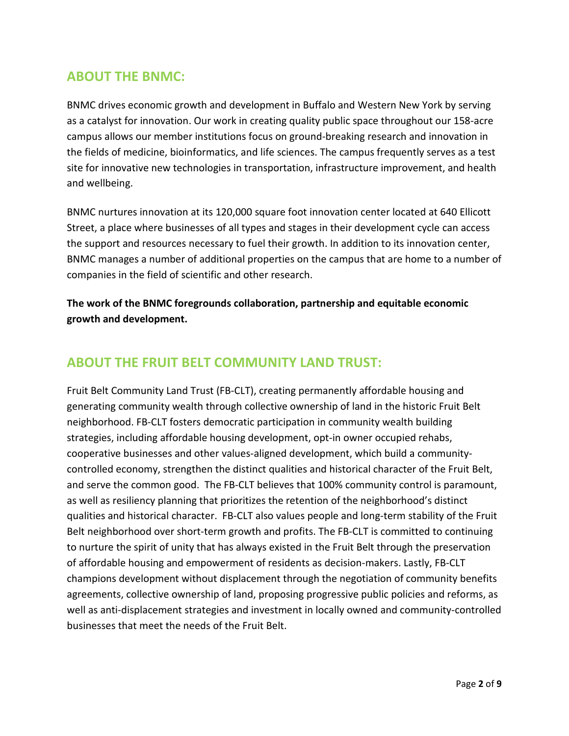### **ABOUT THE BNMC:**

BNMC drives economic growth and development in Buffalo and Western New York by serving as a catalyst for innovation. Our work in creating quality public space throughout our 158-acre campus allows our member institutions focus on ground-breaking research and innovation in the fields of medicine, bioinformatics, and life sciences. The campus frequently serves as a test site for innovative new technologies in transportation, infrastructure improvement, and health and wellbeing.

BNMC nurtures innovation at its 120,000 square foot innovation center located at 640 Ellicott Street, a place where businesses of all types and stages in their development cycle can access the support and resources necessary to fuel their growth. In addition to its innovation center, BNMC manages a number of additional properties on the campus that are home to a number of companies in the field of scientific and other research.

**The work of the BNMC foregrounds collaboration, partnership and equitable economic growth and development.**

### **ABOUT THE FRUIT BELT COMMUNITY LAND TRUST:**

Fruit Belt Community Land Trust (FB-CLT), creating permanently affordable housing and generating community wealth through collective ownership of land in the historic Fruit Belt neighborhood. FB-CLT fosters democratic participation in community wealth building strategies, including affordable housing development, opt-in owner occupied rehabs, cooperative businesses and other values-aligned development, which build a communitycontrolled economy, strengthen the distinct qualities and historical character of the Fruit Belt, and serve the common good. The FB-CLT believes that 100% community control is paramount, as well as resiliency planning that prioritizes the retention of the neighborhood's distinct qualities and historical character. FB-CLT also values people and long-term stability of the Fruit Belt neighborhood over short-term growth and profits. The FB-CLT is committed to continuing to nurture the spirit of unity that has always existed in the Fruit Belt through the preservation of affordable housing and empowerment of residents as decision-makers. Lastly, FB-CLT champions development without displacement through the negotiation of community benefits agreements, collective ownership of land, proposing progressive public policies and reforms, as well as anti-displacement strategies and investment in locally owned and community-controlled businesses that meet the needs of the Fruit Belt.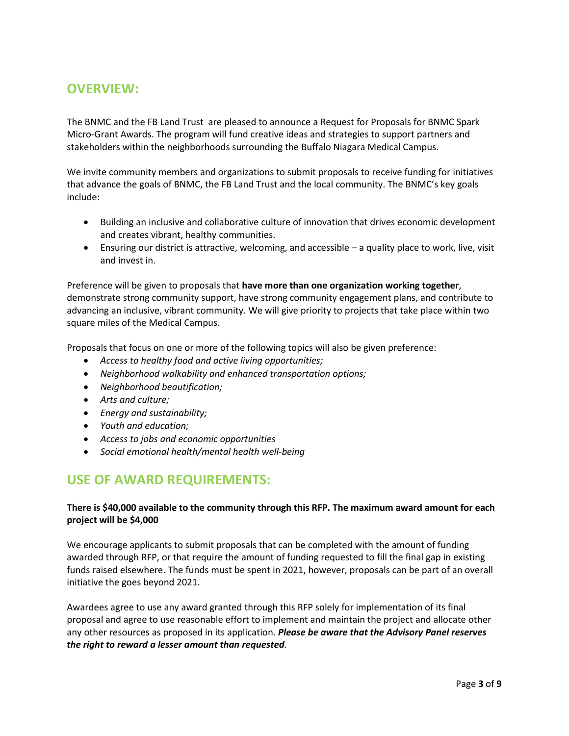### **OVERVIEW:**

The BNMC and the FB Land Trust are pleased to announce a Request for Proposals for BNMC Spark Micro-Grant Awards. The program will fund creative ideas and strategies to support partners and stakeholders within the neighborhoods surrounding the Buffalo Niagara Medical Campus.

We invite community members and organizations to submit proposals to receive funding for initiatives that advance the goals of BNMC, the FB Land Trust and the local community. The BNMC's key goals include:

- Building an inclusive and collaborative culture of innovation that drives economic development and creates vibrant, healthy communities.
- Ensuring our district is attractive, welcoming, and accessible a quality place to work, live, visit and invest in.

Preference will be given to proposals that **have more than one organization working together**, demonstrate strong community support, have strong community engagement plans, and contribute to advancing an inclusive, vibrant community. We will give priority to projects that take place within two square miles of the Medical Campus.

Proposals that focus on one or more of the following topics will also be given preference:

- *Access to healthy food and active living opportunities;*
- *Neighborhood walkability and enhanced transportation options;*
- *Neighborhood beautification;*
- *Arts and culture;*
- *Energy and sustainability;*
- *Youth and education;*
- *Access to jobs and economic opportunities*
- *Social emotional health/mental health well-being*

### **USE OF AWARD REQUIREMENTS:**

#### **There is \$40,000 available to the community through this RFP. The maximum award amount for each project will be \$4,000**

We encourage applicants to submit proposals that can be completed with the amount of funding awarded through RFP, or that require the amount of funding requested to fill the final gap in existing funds raised elsewhere. The funds must be spent in 2021, however, proposals can be part of an overall initiative the goes beyond 2021.

Awardees agree to use any award granted through this RFP solely for implementation of its final proposal and agree to use reasonable effort to implement and maintain the project and allocate other any other resources as proposed in its application. *Please be aware that the Advisory Panel reserves the right to reward a lesser amount than requested*.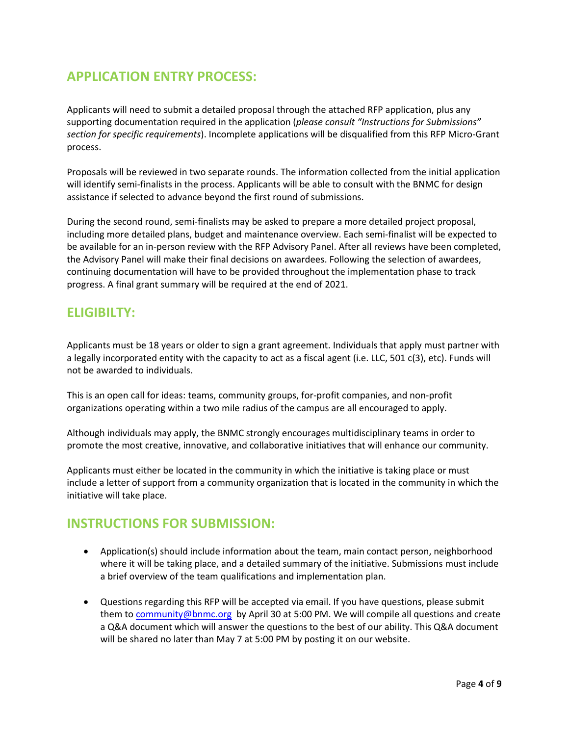## **APPLICATION ENTRY PROCESS:**

Applicants will need to submit a detailed proposal through the attached RFP application, plus any supporting documentation required in the application (*please consult "Instructions for Submissions" section for specific requirements*). Incomplete applications will be disqualified from this RFP Micro-Grant process.

Proposals will be reviewed in two separate rounds. The information collected from the initial application will identify semi-finalists in the process. Applicants will be able to consult with the BNMC for design assistance if selected to advance beyond the first round of submissions.

During the second round, semi-finalists may be asked to prepare a more detailed project proposal, including more detailed plans, budget and maintenance overview. Each semi-finalist will be expected to be available for an in-person review with the RFP Advisory Panel. After all reviews have been completed, the Advisory Panel will make their final decisions on awardees. Following the selection of awardees, continuing documentation will have to be provided throughout the implementation phase to track progress. A final grant summary will be required at the end of 2021.

### **ELIGIBILTY:**

Applicants must be 18 years or older to sign a grant agreement. Individuals that apply must partner with a legally incorporated entity with the capacity to act as a fiscal agent (i.e. LLC, 501 c(3), etc). Funds will not be awarded to individuals.

This is an open call for ideas: teams, community groups, for-profit companies, and non-profit organizations operating within a two mile radius of the campus are all encouraged to apply.

Although individuals may apply, the BNMC strongly encourages multidisciplinary teams in order to promote the most creative, innovative, and collaborative initiatives that will enhance our community.

Applicants must either be located in the community in which the initiative is taking place or must include a letter of support from a community organization that is located in the community in which the initiative will take place.

#### **INSTRUCTIONS FOR SUBMISSION:**

- Application(s) should include information about the team, main contact person, neighborhood where it will be taking place, and a detailed summary of the initiative. Submissions must include a brief overview of the team qualifications and implementation plan.
- Questions regarding this RFP will be accepted via email. If you have questions, please submit them to [community@bnmc.org](mailto:community@bnmc.org) by April 30 at 5:00 PM. We will compile all questions and create a Q&A document which will answer the questions to the best of our ability. This Q&A document will be shared no later than May 7 at 5:00 PM by posting it on our website.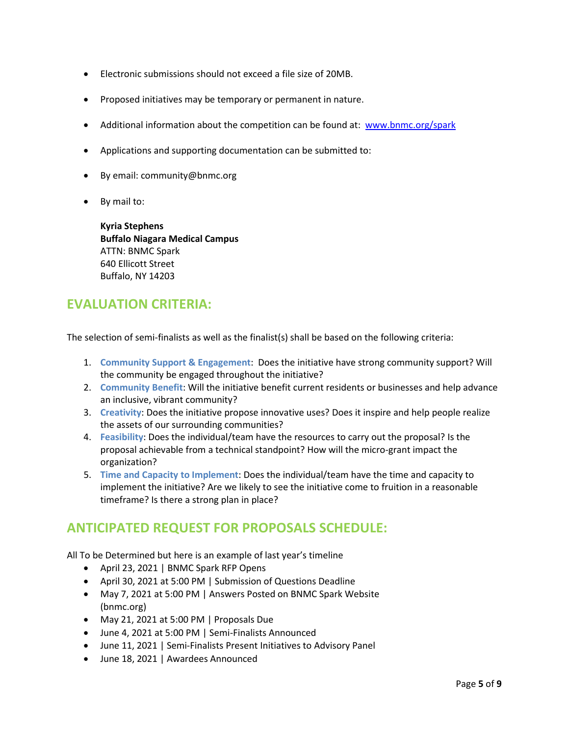- Electronic submissions should not exceed a file size of 20MB.
- Proposed initiatives may be temporary or permanent in nature.
- Additional information about the competition can be found at: [www.bnmc.org/spark](http://www.bnmc.org/spark)
- Applications and supporting documentation can be submitted to:
- By email: community@bnmc.org
- By mail to:

**Kyria Stephens Buffalo Niagara Medical Campus** ATTN: BNMC Spark 640 Ellicott Street Buffalo, NY 14203

### **EVALUATION CRITERIA:**

The selection of semi-finalists as well as the finalist(s) shall be based on the following criteria:

- 1. **Community Support & Engagement**: Does the initiative have strong community support? Will the community be engaged throughout the initiative?
- 2. **Community Benefit**: Will the initiative benefit current residents or businesses and help advance an inclusive, vibrant community?
- 3. **Creativity**: Does the initiative propose innovative uses? Does it inspire and help people realize the assets of our surrounding communities?
- 4. **Feasibility**: Does the individual/team have the resources to carry out the proposal? Is the proposal achievable from a technical standpoint? How will the micro-grant impact the organization?
- 5. **Time and Capacity to Implement**: Does the individual/team have the time and capacity to implement the initiative? Are we likely to see the initiative come to fruition in a reasonable timeframe? Is there a strong plan in place?

### **ANTICIPATED REQUEST FOR PROPOSALS SCHEDULE:**

All To be Determined but here is an example of last year's timeline

- April 23, 2021 | BNMC Spark RFP Opens
- April 30, 2021 at 5:00 PM | Submission of Questions Deadline
- May 7, 2021 at 5:00 PM | Answers Posted on BNMC Spark Website (bnmc.org)
- May 21, 2021 at 5:00 PM | Proposals Due
- June 4, 2021 at 5:00 PM | Semi-Finalists Announced
- June 11, 2021 | Semi-Finalists Present Initiatives to Advisory Panel
- June 18, 2021 | Awardees Announced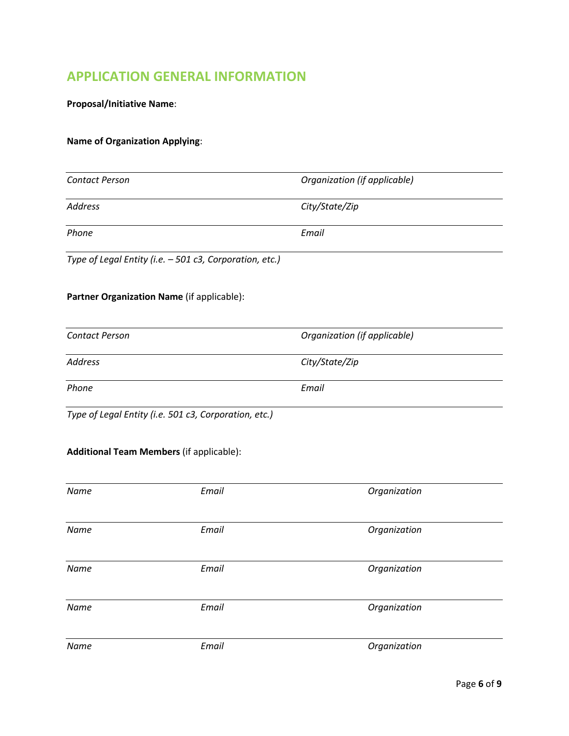# **APPLICATION GENERAL INFORMATION**

**Proposal/Initiative Name**:

#### **Name of Organization Applying**:

| <b>Contact Person</b> |                                                         | Organization (if applicable) |  |  |
|-----------------------|---------------------------------------------------------|------------------------------|--|--|
| <b>Address</b>        |                                                         | City/State/Zip               |  |  |
| Phone                 |                                                         | Email                        |  |  |
|                       | Type of Legal Entity (i.e. - 501 c3, Corporation, etc.) |                              |  |  |
|                       | Partner Organization Name (if applicable):              |                              |  |  |
| <b>Contact Person</b> |                                                         | Organization (if applicable) |  |  |
| <b>Address</b>        |                                                         | City/State/Zip               |  |  |
| Phone                 |                                                         | Email                        |  |  |
|                       | Type of Legal Entity (i.e. 501 c3, Corporation, etc.)   |                              |  |  |
|                       | <b>Additional Team Members (if applicable):</b>         |                              |  |  |
| Name                  | Email                                                   | Organization                 |  |  |
| Name                  | Email                                                   | Organization                 |  |  |
| Name                  | Email                                                   | Organization                 |  |  |
| Name                  | Email                                                   | Organization                 |  |  |
| Name                  | Email                                                   | Organization                 |  |  |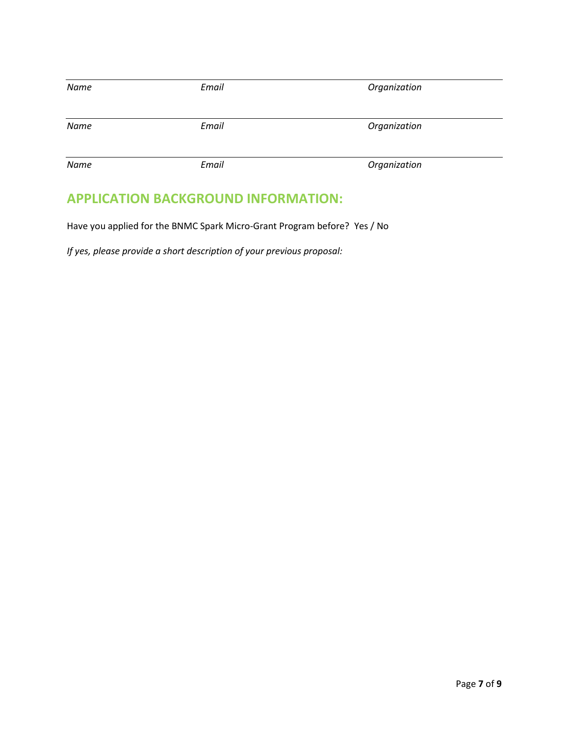| Name | Email | Organization |
|------|-------|--------------|
| Name | Email | Organization |
| Name | Email | Organization |

# **APPLICATION BACKGROUND INFORMATION:**

Have you applied for the BNMC Spark Micro-Grant Program before? Yes / No

*If yes, please provide a short description of your previous proposal:*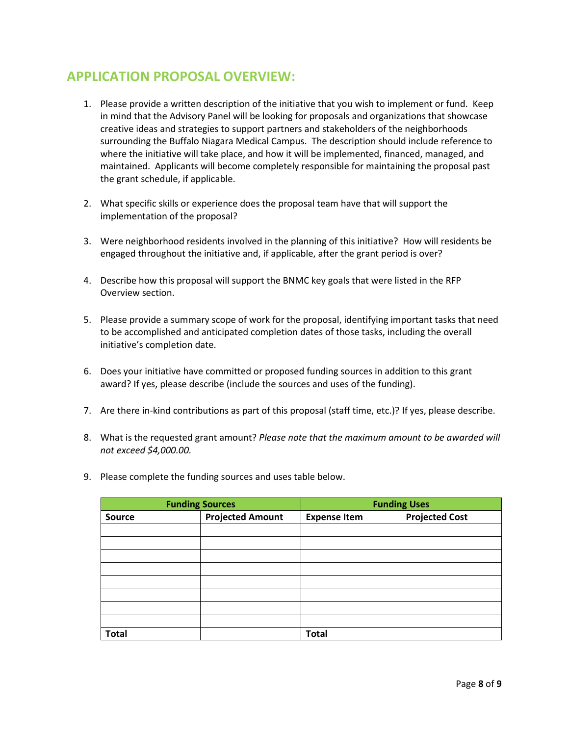### **APPLICATION PROPOSAL OVERVIEW:**

- 1. Please provide a written description of the initiative that you wish to implement or fund. Keep in mind that the Advisory Panel will be looking for proposals and organizations that showcase creative ideas and strategies to support partners and stakeholders of the neighborhoods surrounding the Buffalo Niagara Medical Campus. The description should include reference to where the initiative will take place, and how it will be implemented, financed, managed, and maintained. Applicants will become completely responsible for maintaining the proposal past the grant schedule, if applicable.
- 2. What specific skills or experience does the proposal team have that will support the implementation of the proposal?
- 3. Were neighborhood residents involved in the planning of this initiative? How will residents be engaged throughout the initiative and, if applicable, after the grant period is over?
- 4. Describe how this proposal will support the BNMC key goals that were listed in the RFP Overview section.
- 5. Please provide a summary scope of work for the proposal, identifying important tasks that need to be accomplished and anticipated completion dates of those tasks, including the overall initiative's completion date.
- 6. Does your initiative have committed or proposed funding sources in addition to this grant award? If yes, please describe (include the sources and uses of the funding).
- 7. Are there in-kind contributions as part of this proposal (staff time, etc.)? If yes, please describe.
- 8. What is the requested grant amount? *Please note that the maximum amount to be awarded will not exceed \$4,000.00.*
- 9. Please complete the funding sources and uses table below.

| <b>Funding Sources</b> |                         | <b>Funding Uses</b> |                       |
|------------------------|-------------------------|---------------------|-----------------------|
| Source                 | <b>Projected Amount</b> | <b>Expense Item</b> | <b>Projected Cost</b> |
|                        |                         |                     |                       |
|                        |                         |                     |                       |
|                        |                         |                     |                       |
|                        |                         |                     |                       |
|                        |                         |                     |                       |
|                        |                         |                     |                       |
|                        |                         |                     |                       |
|                        |                         |                     |                       |
| <b>Total</b>           |                         | <b>Total</b>        |                       |